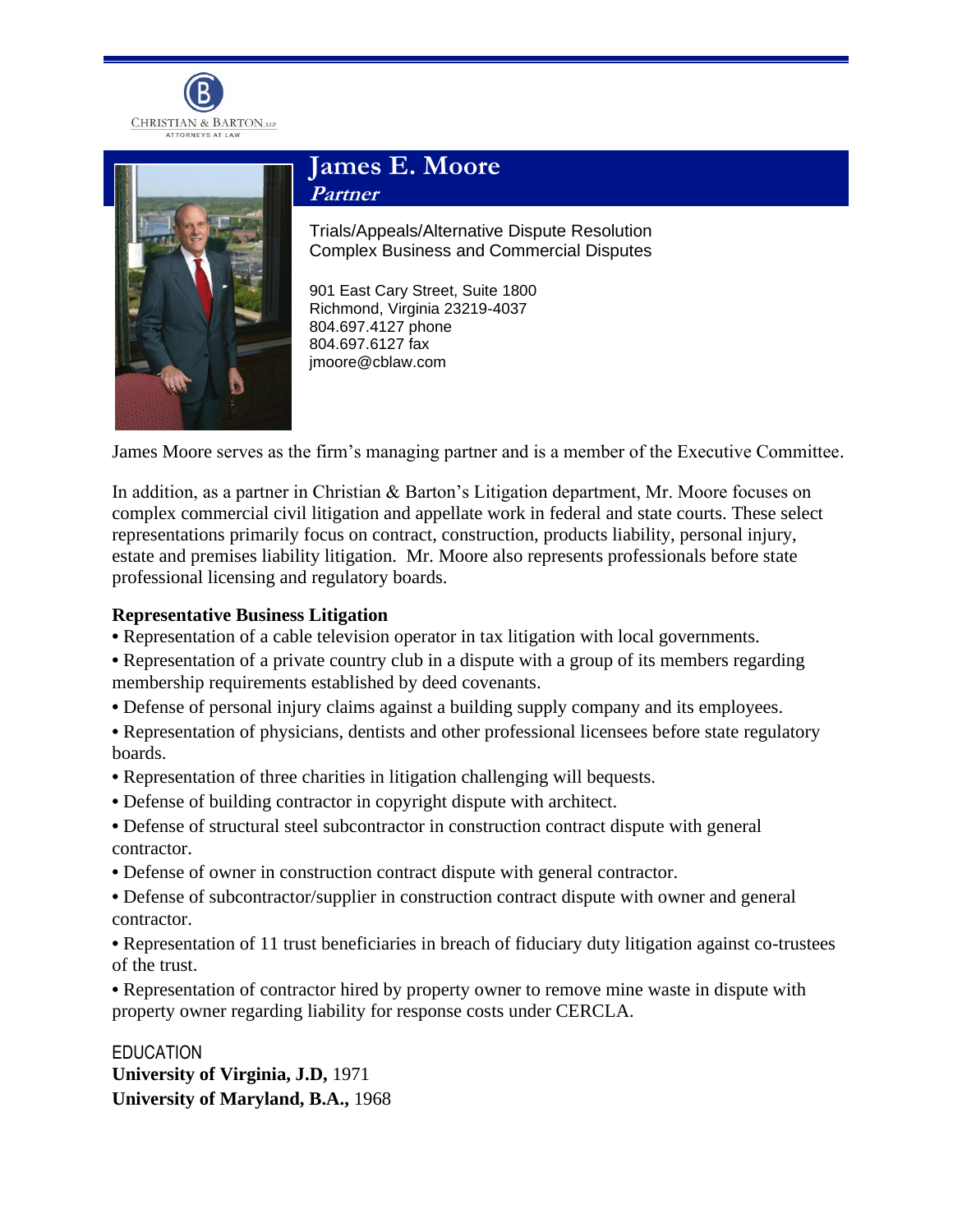



# **James E. Moore Partner**

Trials/Appeals/Alternative Dispute Resolution Complex Business and Commercial Disputes

901 East Cary Street, Suite 1800 Richmond, Virginia 23219-4037 804.697.4127 phone 804.697.6127 fax jmoore@cblaw.com

James Moore serves as the firm's managing partner and is a member of the Executive Committee.

In addition, as a partner in Christian & Barton's Litigation department, Mr. Moore focuses on complex commercial civil litigation and appellate work in federal and state courts. These select representations primarily focus on contract, construction, products liability, personal injury, estate and premises liability litigation. Mr. Moore also represents professionals before state professional licensing and regulatory boards.

#### **Representative Business Litigation**

- **•** Representation of a cable television operator in tax litigation with local governments.
- **•** Representation of a private country club in a dispute with a group of its members regarding membership requirements established by deed covenants.
- **•** Defense of personal injury claims against a building supply company and its employees.
- Representation of physicians, dentists and other professional licensees before state regulatory boards.
- **•** Representation of three charities in litigation challenging will bequests.
- **•** Defense of building contractor in copyright dispute with architect.
- **•** Defense of structural steel subcontractor in construction contract dispute with general contractor.
- **•** Defense of owner in construction contract dispute with general contractor.
- Defense of subcontractor/supplier in construction contract dispute with owner and general contractor.
- Representation of 11 trust beneficiaries in breach of fiduciary duty litigation against co-trustees of the trust.

**•** Representation of contractor hired by property owner to remove mine waste in dispute with property owner regarding liability for response costs under CERCLA.

EDUCATION **University of Virginia, J.D,** 1971 **University of Maryland, B.A.,** 1968